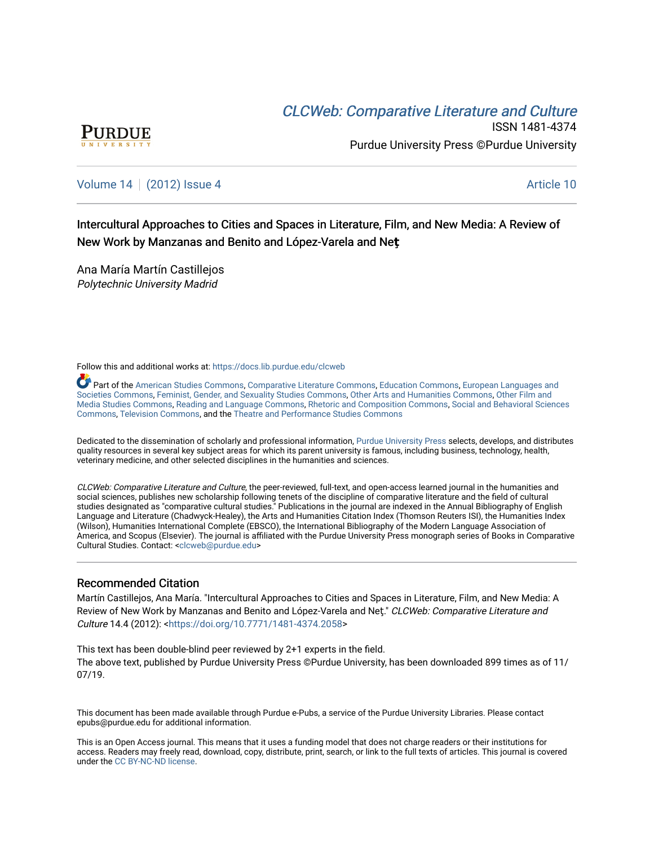# **CLCW[eb: Comparative Liter](https://docs.lib.purdue.edu/clcweb)ature and Culture**



ISSN 1481-4374 Purdue University Press ©Purdue University

## [Volume 14](https://docs.lib.purdue.edu/clcweb/vol14) | [\(2012\) Issue 4](https://docs.lib.purdue.edu/clcweb/vol14/iss4) Article 10

Intercultural Approaches to Cities and Spaces in Literature, Film, and New Media: A Review of New Work by Manzanas and Benito and López-Varela and Net

Ana María Martín Castillejos Polytechnic University Madrid

Follow this and additional works at: [https://docs.lib.purdue.edu/clcweb](https://docs.lib.purdue.edu/clcweb?utm_source=docs.lib.purdue.edu%2Fclcweb%2Fvol14%2Fiss4%2F10&utm_medium=PDF&utm_campaign=PDFCoverPages)

Part of the [American Studies Commons](http://network.bepress.com/hgg/discipline/439?utm_source=docs.lib.purdue.edu%2Fclcweb%2Fvol14%2Fiss4%2F10&utm_medium=PDF&utm_campaign=PDFCoverPages), [Comparative Literature Commons,](http://network.bepress.com/hgg/discipline/454?utm_source=docs.lib.purdue.edu%2Fclcweb%2Fvol14%2Fiss4%2F10&utm_medium=PDF&utm_campaign=PDFCoverPages) [Education Commons,](http://network.bepress.com/hgg/discipline/784?utm_source=docs.lib.purdue.edu%2Fclcweb%2Fvol14%2Fiss4%2F10&utm_medium=PDF&utm_campaign=PDFCoverPages) [European Languages and](http://network.bepress.com/hgg/discipline/482?utm_source=docs.lib.purdue.edu%2Fclcweb%2Fvol14%2Fiss4%2F10&utm_medium=PDF&utm_campaign=PDFCoverPages) [Societies Commons](http://network.bepress.com/hgg/discipline/482?utm_source=docs.lib.purdue.edu%2Fclcweb%2Fvol14%2Fiss4%2F10&utm_medium=PDF&utm_campaign=PDFCoverPages), [Feminist, Gender, and Sexuality Studies Commons,](http://network.bepress.com/hgg/discipline/559?utm_source=docs.lib.purdue.edu%2Fclcweb%2Fvol14%2Fiss4%2F10&utm_medium=PDF&utm_campaign=PDFCoverPages) [Other Arts and Humanities Commons](http://network.bepress.com/hgg/discipline/577?utm_source=docs.lib.purdue.edu%2Fclcweb%2Fvol14%2Fiss4%2F10&utm_medium=PDF&utm_campaign=PDFCoverPages), [Other Film and](http://network.bepress.com/hgg/discipline/565?utm_source=docs.lib.purdue.edu%2Fclcweb%2Fvol14%2Fiss4%2F10&utm_medium=PDF&utm_campaign=PDFCoverPages)  [Media Studies Commons](http://network.bepress.com/hgg/discipline/565?utm_source=docs.lib.purdue.edu%2Fclcweb%2Fvol14%2Fiss4%2F10&utm_medium=PDF&utm_campaign=PDFCoverPages), [Reading and Language Commons](http://network.bepress.com/hgg/discipline/1037?utm_source=docs.lib.purdue.edu%2Fclcweb%2Fvol14%2Fiss4%2F10&utm_medium=PDF&utm_campaign=PDFCoverPages), [Rhetoric and Composition Commons,](http://network.bepress.com/hgg/discipline/573?utm_source=docs.lib.purdue.edu%2Fclcweb%2Fvol14%2Fiss4%2F10&utm_medium=PDF&utm_campaign=PDFCoverPages) [Social and Behavioral Sciences](http://network.bepress.com/hgg/discipline/316?utm_source=docs.lib.purdue.edu%2Fclcweb%2Fvol14%2Fiss4%2F10&utm_medium=PDF&utm_campaign=PDFCoverPages) [Commons,](http://network.bepress.com/hgg/discipline/316?utm_source=docs.lib.purdue.edu%2Fclcweb%2Fvol14%2Fiss4%2F10&utm_medium=PDF&utm_campaign=PDFCoverPages) [Television Commons,](http://network.bepress.com/hgg/discipline/1143?utm_source=docs.lib.purdue.edu%2Fclcweb%2Fvol14%2Fiss4%2F10&utm_medium=PDF&utm_campaign=PDFCoverPages) and the [Theatre and Performance Studies Commons](http://network.bepress.com/hgg/discipline/552?utm_source=docs.lib.purdue.edu%2Fclcweb%2Fvol14%2Fiss4%2F10&utm_medium=PDF&utm_campaign=PDFCoverPages)

Dedicated to the dissemination of scholarly and professional information, [Purdue University Press](http://www.thepress.purdue.edu/) selects, develops, and distributes quality resources in several key subject areas for which its parent university is famous, including business, technology, health, veterinary medicine, and other selected disciplines in the humanities and sciences.

CLCWeb: Comparative Literature and Culture, the peer-reviewed, full-text, and open-access learned journal in the humanities and social sciences, publishes new scholarship following tenets of the discipline of comparative literature and the field of cultural studies designated as "comparative cultural studies." Publications in the journal are indexed in the Annual Bibliography of English Language and Literature (Chadwyck-Healey), the Arts and Humanities Citation Index (Thomson Reuters ISI), the Humanities Index (Wilson), Humanities International Complete (EBSCO), the International Bibliography of the Modern Language Association of America, and Scopus (Elsevier). The journal is affiliated with the Purdue University Press monograph series of Books in Comparative Cultural Studies. Contact: [<clcweb@purdue.edu](mailto:clcweb@purdue.edu)>

### Recommended Citation

Martín Castillejos, Ana María. "Intercultural Approaches to Cities and Spaces in Literature, Film, and New Media: A Review of New Work by Manzanas and Benito and López-Varela and Neţ." CLCWeb: Comparative Literature and Culture 14.4 (2012): <[https://doi.org/10.7771/1481-4374.2058>](https://doi.org/10.7771/1481-4374.2058)

This text has been double-blind peer reviewed by 2+1 experts in the field. The above text, published by Purdue University Press ©Purdue University, has been downloaded 899 times as of 11/ 07/19.

This document has been made available through Purdue e-Pubs, a service of the Purdue University Libraries. Please contact epubs@purdue.edu for additional information.

This is an Open Access journal. This means that it uses a funding model that does not charge readers or their institutions for access. Readers may freely read, download, copy, distribute, print, search, or link to the full texts of articles. This journal is covered under the [CC BY-NC-ND license.](https://creativecommons.org/licenses/by-nc-nd/4.0/)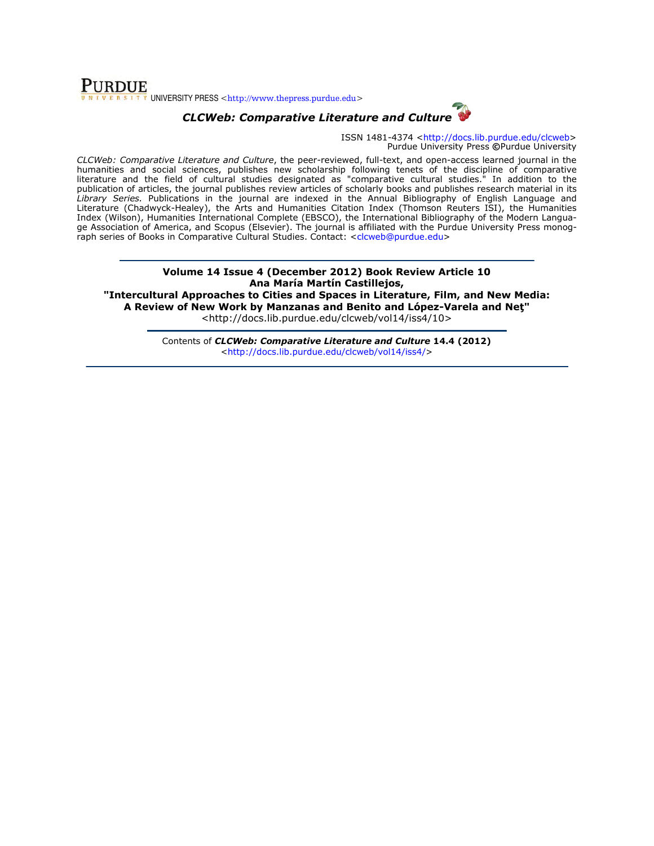## **PURDUE** SITY UNIVERSITY PRESS <http://www.thepress.purdue.edu>



ISSN 1481-4374 <http://docs.lib.purdue.edu/clcweb> Purdue University Press ©Purdue University

CLCWeb: Comparative Literature and Culture, the peer-reviewed, full-text, and open-access learned journal in the humanities and social sciences, publishes new scholarship following tenets of the discipline of comparative literature and the field of cultural studies designated as "comparative cultural studies." In addition to the publication of articles, the journal publishes review articles of scholarly books and publishes research material in its Library Series. Publications in the journal are indexed in the Annual Bibliography of English Language and Literature (Chadwyck-Healey), the Arts and Humanities Citation Index (Thomson Reuters ISI), the Humanities Index (Wilson), Humanities International Complete (EBSCO), the International Bibliography of the Modern Language Association of America, and Scopus (Elsevier). The journal is affiliated with the Purdue University Press monograph series of Books in Comparative Cultural Studies. Contact: <clcweb@purdue.edu>

### Volume 14 Issue 4 (December 2012) Book Review Article 10 Ana María Martín Castillejos,

"Intercultural Approaches to Cities and Spaces in Literature, Film, and New Media: A Review of New Work by Manzanas and Benito and López-Varela and Net" <http://docs.lib.purdue.edu/clcweb/vol14/iss4/10>

> Contents of CLCWeb: Comparative Literature and Culture 14.4 (2012) <http://docs.lib.purdue.edu/clcweb/vol14/iss4/>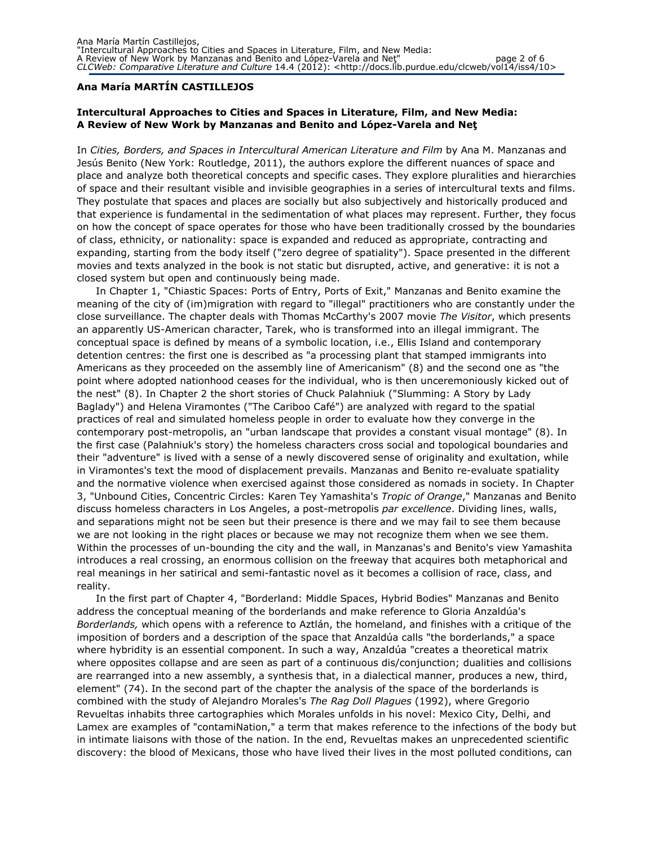#### Ana María MARTÍN CASTILLEJOS

### Intercultural Approaches to Cities and Spaces in Literature, Film, and New Media: A Review of New Work by Manzanas and Benito and López-Varela and Net

In Cities, Borders, and Spaces in Intercultural American Literature and Film by Ana M. Manzanas and Jesús Benito (New York: Routledge, 2011), the authors explore the different nuances of space and place and analyze both theoretical concepts and specific cases. They explore pluralities and hierarchies of space and their resultant visible and invisible geographies in a series of intercultural texts and films. They postulate that spaces and places are socially but also subjectively and historically produced and that experience is fundamental in the sedimentation of what places may represent. Further, they focus on how the concept of space operates for those who have been traditionally crossed by the boundaries of class, ethnicity, or nationality: space is expanded and reduced as appropriate, contracting and expanding, starting from the body itself ("zero degree of spatiality"). Space presented in the different movies and texts analyzed in the book is not static but disrupted, active, and generative: it is not a closed system but open and continuously being made.

In Chapter 1, "Chiastic Spaces: Ports of Entry, Ports of Exit," Manzanas and Benito examine the meaning of the city of (im)migration with regard to "illegal" practitioners who are constantly under the close surveillance. The chapter deals with Thomas McCarthy's 2007 movie The Visitor, which presents an apparently US-American character, Tarek, who is transformed into an illegal immigrant. The conceptual space is defined by means of a symbolic location, i.e., Ellis Island and contemporary detention centres: the first one is described as "a processing plant that stamped immigrants into Americans as they proceeded on the assembly line of Americanism" (8) and the second one as "the point where adopted nationhood ceases for the individual, who is then unceremoniously kicked out of the nest" (8). In Chapter 2 the short stories of Chuck Palahniuk ("Slumming: A Story by Lady Baglady") and Helena Viramontes ("The Cariboo Café") are analyzed with regard to the spatial practices of real and simulated homeless people in order to evaluate how they converge in the contemporary post-metropolis, an "urban landscape that provides a constant visual montage" (8). In the first case (Palahniuk's story) the homeless characters cross social and topological boundaries and their "adventure" is lived with a sense of a newly discovered sense of originality and exultation, while in Viramontes's text the mood of displacement prevails. Manzanas and Benito re-evaluate spatiality and the normative violence when exercised against those considered as nomads in society. In Chapter 3, "Unbound Cities, Concentric Circles: Karen Tey Yamashita's Tropic of Orange," Manzanas and Benito discuss homeless characters in Los Angeles, a post-metropolis par excellence. Dividing lines, walls, and separations might not be seen but their presence is there and we may fail to see them because we are not looking in the right places or because we may not recognize them when we see them. Within the processes of un-bounding the city and the wall, in Manzanas's and Benito's view Yamashita introduces a real crossing, an enormous collision on the freeway that acquires both metaphorical and real meanings in her satirical and semi-fantastic novel as it becomes a collision of race, class, and reality.

In the first part of Chapter 4, "Borderland: Middle Spaces, Hybrid Bodies" Manzanas and Benito address the conceptual meaning of the borderlands and make reference to Gloria Anzaldúa's Borderlands, which opens with a reference to Aztlán, the homeland, and finishes with a critique of the imposition of borders and a description of the space that Anzaldúa calls "the borderlands," a space where hybridity is an essential component. In such a way, Anzaldúa "creates a theoretical matrix where opposites collapse and are seen as part of a continuous dis/conjunction; dualities and collisions are rearranged into a new assembly, a synthesis that, in a dialectical manner, produces a new, third, element" (74). In the second part of the chapter the analysis of the space of the borderlands is combined with the study of Alejandro Morales's The Rag Doll Plagues (1992), where Gregorio Revueltas inhabits three cartographies which Morales unfolds in his novel: Mexico City, Delhi, and Lamex are examples of "contamiNation," a term that makes reference to the infections of the body but in intimate liaisons with those of the nation. In the end, Revueltas makes an unprecedented scientific discovery: the blood of Mexicans, those who have lived their lives in the most polluted conditions, can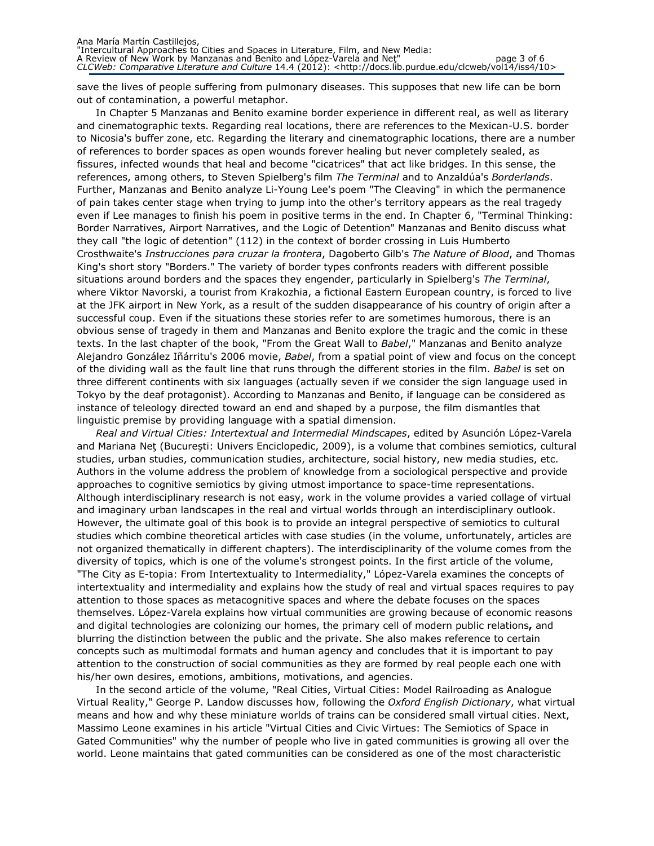save the lives of people suffering from pulmonary diseases. This supposes that new life can be born out of contamination, a powerful metaphor.

In Chapter 5 Manzanas and Benito examine border experience in different real, as well as literary and cinematographic texts. Regarding real locations, there are references to the Mexican-U.S. border to Nicosia's buffer zone, etc. Regarding the literary and cinematographic locations, there are a number of references to border spaces as open wounds forever healing but never completely sealed, as fissures, infected wounds that heal and become "cicatrices" that act like bridges. In this sense, the references, among others, to Steven Spielberg's film The Terminal and to Anzaldúa's Borderlands. Further, Manzanas and Benito analyze Li-Young Lee's poem "The Cleaving" in which the permanence of pain takes center stage when trying to jump into the other's territory appears as the real tragedy even if Lee manages to finish his poem in positive terms in the end. In Chapter 6, "Terminal Thinking: Border Narratives, Airport Narratives, and the Logic of Detention" Manzanas and Benito discuss what they call "the logic of detention" (112) in the context of border crossing in Luis Humberto Crosthwaite's Instrucciones para cruzar la frontera, Dagoberto Gilb's The Nature of Blood, and Thomas King's short story "Borders." The variety of border types confronts readers with different possible situations around borders and the spaces they engender, particularly in Spielberg's The Terminal, where Viktor Navorski, a tourist from Krakozhia, a fictional Eastern European country, is forced to live at the JFK airport in New York, as a result of the sudden disappearance of his country of origin after a successful coup. Even if the situations these stories refer to are sometimes humorous, there is an obvious sense of tragedy in them and Manzanas and Benito explore the tragic and the comic in these texts. In the last chapter of the book, "From the Great Wall to Babel," Manzanas and Benito analyze Alejandro González Iñárritu's 2006 movie, Babel, from a spatial point of view and focus on the concept of the dividing wall as the fault line that runs through the different stories in the film. Babel is set on three different continents with six languages (actually seven if we consider the sign language used in Tokyo by the deaf protagonist). According to Manzanas and Benito, if language can be considered as instance of teleology directed toward an end and shaped by a purpose, the film dismantles that linguistic premise by providing language with a spatial dimension.

Real and Virtual Cities: Intertextual and Intermedial Mindscapes, edited by Asunción López-Varela and Mariana Net (București: Univers Enciclopedic, 2009), is a volume that combines semiotics, cultural studies, urban studies, communication studies, architecture, social history, new media studies, etc. Authors in the volume address the problem of knowledge from a sociological perspective and provide approaches to cognitive semiotics by giving utmost importance to space-time representations. Although interdisciplinary research is not easy, work in the volume provides a varied collage of virtual and imaginary urban landscapes in the real and virtual worlds through an interdisciplinary outlook. However, the ultimate goal of this book is to provide an integral perspective of semiotics to cultural studies which combine theoretical articles with case studies (in the volume, unfortunately, articles are not organized thematically in different chapters). The interdisciplinarity of the volume comes from the diversity of topics, which is one of the volume's strongest points. In the first article of the volume, "The City as E-topia: From Intertextuality to Intermediality," López-Varela examines the concepts of intertextuality and intermediality and explains how the study of real and virtual spaces requires to pay attention to those spaces as metacognitive spaces and where the debate focuses on the spaces themselves. López-Varela explains how virtual communities are growing because of economic reasons and digital technologies are colonizing our homes, the primary cell of modern public relations, and blurring the distinction between the public and the private. She also makes reference to certain concepts such as multimodal formats and human agency and concludes that it is important to pay attention to the construction of social communities as they are formed by real people each one with his/her own desires, emotions, ambitions, motivations, and agencies.

In the second article of the volume, "Real Cities, Virtual Cities: Model Railroading as Analogue Virtual Reality," George P. Landow discusses how, following the Oxford English Dictionary, what virtual means and how and why these miniature worlds of trains can be considered small virtual cities. Next, Massimo Leone examines in his article "Virtual Cities and Civic Virtues: The Semiotics of Space in Gated Communities" why the number of people who live in gated communities is growing all over the world. Leone maintains that gated communities can be considered as one of the most characteristic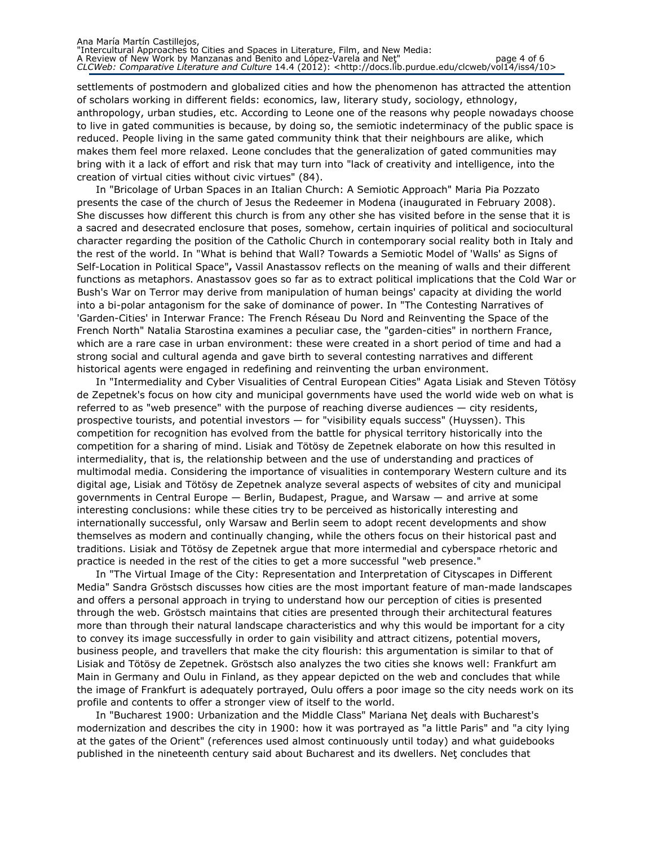settlements of postmodern and globalized cities and how the phenomenon has attracted the attention of scholars working in different fields: economics, law, literary study, sociology, ethnology, anthropology, urban studies, etc. According to Leone one of the reasons why people nowadays choose to live in gated communities is because, by doing so, the semiotic indeterminacy of the public space is reduced. People living in the same gated community think that their neighbours are alike, which makes them feel more relaxed. Leone concludes that the generalization of gated communities may bring with it a lack of effort and risk that may turn into "lack of creativity and intelligence, into the creation of virtual cities without civic virtues" (84).

In "Bricolage of Urban Spaces in an Italian Church: A Semiotic Approach" Maria Pia Pozzato presents the case of the church of Jesus the Redeemer in Modena (inaugurated in February 2008). She discusses how different this church is from any other she has visited before in the sense that it is a sacred and desecrated enclosure that poses, somehow, certain inquiries of political and sociocultural character regarding the position of the Catholic Church in contemporary social reality both in Italy and the rest of the world. In "What is behind that Wall? Towards a Semiotic Model of 'Walls' as Signs of Self-Location in Political Space", Vassil Anastassov reflects on the meaning of walls and their different functions as metaphors. Anastassov goes so far as to extract political implications that the Cold War or Bush's War on Terror may derive from manipulation of human beings' capacity at dividing the world into a bi-polar antagonism for the sake of dominance of power. In "The Contesting Narratives of 'Garden-Cities' in Interwar France: The French Réseau Du Nord and Reinventing the Space of the French North" Natalia Starostina examines a peculiar case, the "garden-cities" in northern France, which are a rare case in urban environment: these were created in a short period of time and had a strong social and cultural agenda and gave birth to several contesting narratives and different historical agents were engaged in redefining and reinventing the urban environment.

In "Intermediality and Cyber Visualities of Central European Cities" Agata Lisiak and Steven Tötösy de Zepetnek's focus on how city and municipal governments have used the world wide web on what is referred to as "web presence" with the purpose of reaching diverse audiences — city residents, prospective tourists, and potential investors — for "visibility equals success" (Huyssen). This competition for recognition has evolved from the battle for physical territory historically into the competition for a sharing of mind. Lisiak and Tötösy de Zepetnek elaborate on how this resulted in intermediality, that is, the relationship between and the use of understanding and practices of multimodal media. Considering the importance of visualities in contemporary Western culture and its digital age, Lisiak and Tötösy de Zepetnek analyze several aspects of websites of city and municipal governments in Central Europe — Berlin, Budapest, Prague, and Warsaw — and arrive at some interesting conclusions: while these cities try to be perceived as historically interesting and internationally successful, only Warsaw and Berlin seem to adopt recent developments and show themselves as modern and continually changing, while the others focus on their historical past and traditions. Lisiak and Tötösy de Zepetnek argue that more intermedial and cyberspace rhetoric and practice is needed in the rest of the cities to get a more successful "web presence."

In "The Virtual Image of the City: Representation and Interpretation of Cityscapes in Different Media" Sandra Gröstsch discusses how cities are the most important feature of man-made landscapes and offers a personal approach in trying to understand how our perception of cities is presented through the web. Gröstsch maintains that cities are presented through their architectural features more than through their natural landscape characteristics and why this would be important for a city to convey its image successfully in order to gain visibility and attract citizens, potential movers, business people, and travellers that make the city flourish: this argumentation is similar to that of Lisiak and Tötösy de Zepetnek. Gröstsch also analyzes the two cities she knows well: Frankfurt am Main in Germany and Oulu in Finland, as they appear depicted on the web and concludes that while the image of Frankfurt is adequately portrayed, Oulu offers a poor image so the city needs work on its profile and contents to offer a stronger view of itself to the world.

In "Bucharest 1900: Urbanization and the Middle Class" Mariana Net deals with Bucharest's modernization and describes the city in 1900: how it was portrayed as "a little Paris" and "a city lying at the gates of the Orient" (references used almost continuously until today) and what guidebooks published in the nineteenth century said about Bucharest and its dwellers. Net concludes that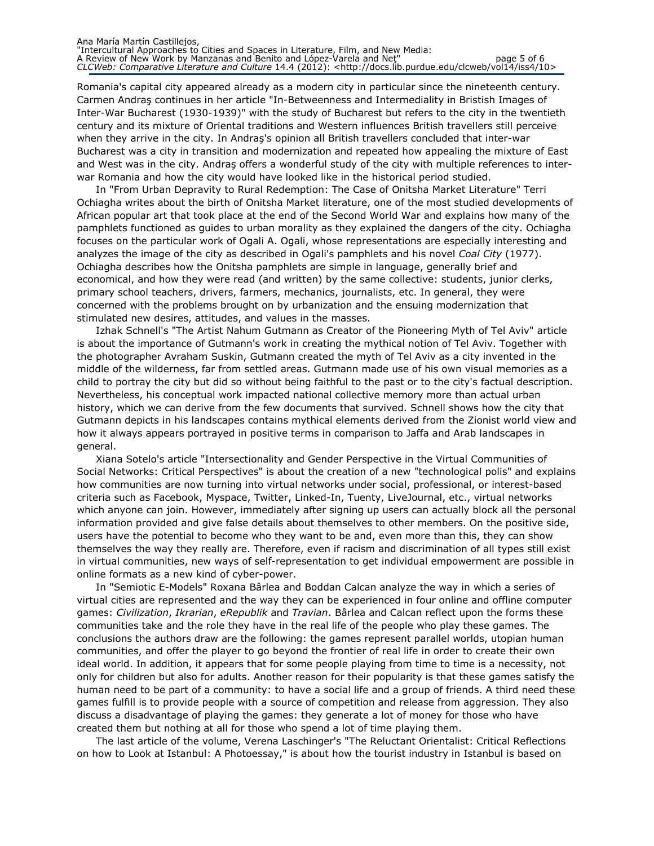Romania's capital city appeared already as a modern city in particular since the nineteenth century. Carmen Andraş continues in her article "In-Betweenness and Intermediality in Bristish Images of Inter-War Bucharest (1930-1939)" with the study of Bucharest but refers to the city in the twentieth century and its mixture of Oriental traditions and Western influences British travellers still perceive when they arrive in the city. In Andraş's opinion all British travellers concluded that inter-war Bucharest was a city in transition and modernization and repeated how appealing the mixture of East and West was in the city. Andraş offers a wonderful study of the city with multiple references to interwar Romania and how the city would have looked like in the historical period studied.

In "From Urban Depravity to Rural Redemption: The Case of Onitsha Market Literature" Terri Ochiagha writes about the birth of Onitsha Market literature, one of the most studied developments of African popular art that took place at the end of the Second World War and explains how many of the pamphlets functioned as guides to urban morality as they explained the dangers of the city. Ochiagha focuses on the particular work of Ogali A. Ogali, whose representations are especially interesting and analyzes the image of the city as described in Ogali's pamphlets and his novel Coal City (1977). Ochiagha describes how the Onitsha pamphlets are simple in language, generally brief and economical, and how they were read (and written) by the same collective: students, junior clerks, primary school teachers, drivers, farmers, mechanics, journalists, etc. In general, they were concerned with the problems brought on by urbanization and the ensuing modernization that stimulated new desires, attitudes, and values in the masses.

Izhak Schnell's "The Artist Nahum Gutmann as Creator of the Pioneering Myth of Tel Aviv" article is about the importance of Gutmann's work in creating the mythical notion of Tel Aviv. Together with the photographer Avraham Suskin, Gutmann created the myth of Tel Aviv as a city invented in the middle of the wilderness, far from settled areas. Gutmann made use of his own visual memories as a child to portray the city but did so without being faithful to the past or to the city's factual description. Nevertheless, his conceptual work impacted national collective memory more than actual urban history, which we can derive from the few documents that survived. Schnell shows how the city that Gutmann depicts in his landscapes contains mythical elements derived from the Zionist world view and how it always appears portrayed in positive terms in comparison to Jaffa and Arab landscapes in general.

Xiana Sotelo's article "Intersectionality and Gender Perspective in the Virtual Communities of Social Networks: Critical Perspectives" is about the creation of a new "technological polis" and explains how communities are now turning into virtual networks under social, professional, or interest-based criteria such as Facebook, Myspace, Twitter, Linked-In, Tuenty, LiveJournal, etc., virtual networks which anyone can join. However, immediately after signing up users can actually block all the personal information provided and give false details about themselves to other members. On the positive side, users have the potential to become who they want to be and, even more than this, they can show themselves the way they really are. Therefore, even if racism and discrimination of all types still exist in virtual communities, new ways of self-representation to get individual empowerment are possible in online formats as a new kind of cyber-power.

In "Semiotic E-Models" Roxana Bârlea and Boddan Calcan analyze the way in which a series of virtual cities are represented and the way they can be experienced in four online and offline computer games: Civilization, Ikrarian, eRepublik and Travian. Bârlea and Calcan reflect upon the forms these communities take and the role they have in the real life of the people who play these games. The conclusions the authors draw are the following: the games represent parallel worlds, utopian human communities, and offer the player to go beyond the frontier of real life in order to create their own ideal world. In addition, it appears that for some people playing from time to time is a necessity, not only for children but also for adults. Another reason for their popularity is that these games satisfy the human need to be part of a community: to have a social life and a group of friends. A third need these games fulfill is to provide people with a source of competition and release from aggression. They also discuss a disadvantage of playing the games: they generate a lot of money for those who have created them but nothing at all for those who spend a lot of time playing them.

The last article of the volume, Verena Laschinger's "The Reluctant Orientalist: Critical Reflections on how to Look at Istanbul: A Photoessay," is about how the tourist industry in Istanbul is based on